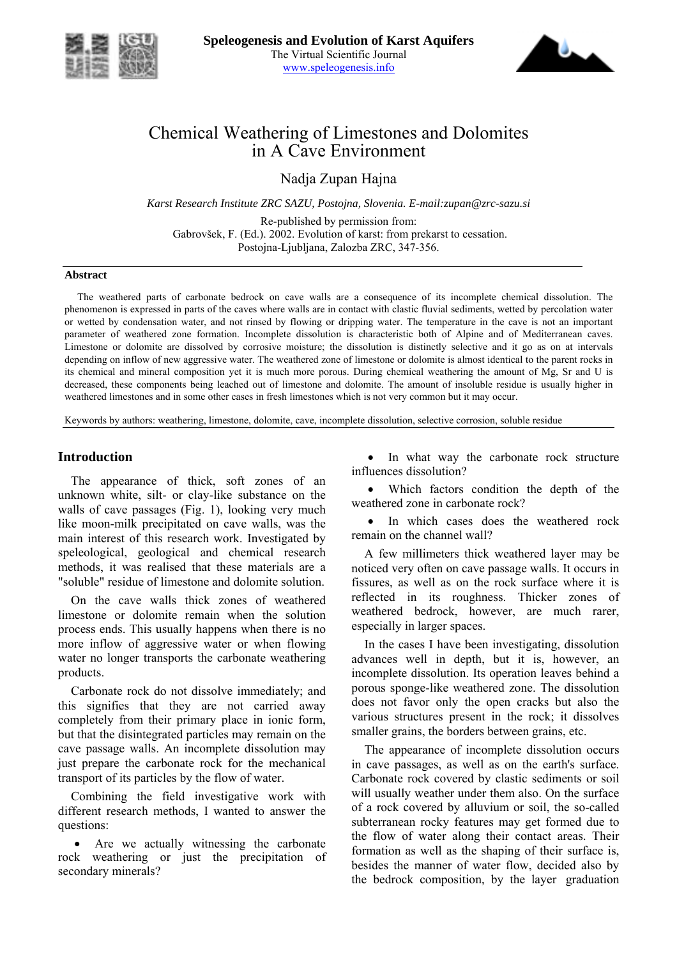



# Chemical Weathering of Limestones and Dolomites in A Cave Environment

Nadja Zupan Hajna

*Karst Research Institute ZRC SAZU, Postojna, Slovenia. E-mail:zupan@zrc-sazu.si* 

Re-published by permission from: Gabrovöek, F. (Ed.). 2002. Evolution of karst: from prekarst to cessation. Postojna-Ljubljana, Zalozba ZRC, 347-356.

#### **Abstract**

The weathered parts of carbonate bedrock on cave walls are a consequence of its incomplete chemical dissolution. The phenomenon is expressed in parts of the caves where walls are in contact with clastic fluvial sediments, wetted by percolation water or wetted by condensation water, and not rinsed by flowing or dripping water. The temperature in the cave is not an important parameter of weathered zone formation. Incomplete dissolution is characteristic both of Alpine and of Mediterranean caves. Limestone or dolomite are dissolved by corrosive moisture; the dissolution is distinctly selective and it go as on at intervals depending on inflow of new aggressive water. The weathered zone of limestone or dolomite is almost identical to the parent rocks in its chemical and mineral composition yet it is much more porous. During chemical weathering the amount of Mg, Sr and U is decreased, these components being leached out of limestone and dolomite. The amount of insoluble residue is usually higher in weathered limestones and in some other cases in fresh limestones which is not very common but it may occur.

Keywords by authors: weathering, limestone, dolomite, cave, incomplete dissolution, selective corrosion, soluble residue

#### **Introduction**

The appearance of thick, soft zones of an unknown white, silt- or clay-like substance on the walls of cave passages (Fig. 1), looking very much like moon-milk precipitated on cave walls, was the main interest of this research work. Investigated by speleological, geological and chemical research methods, it was realised that these materials are a "soluble" residue of limestone and dolomite solution.

On the cave walls thick zones of weathered limestone or dolomite remain when the solution process ends. This usually happens when there is no more inflow of aggressive water or when flowing water no longer transports the carbonate weathering products.

Carbonate rock do not dissolve immediately; and this signifies that they are not carried away completely from their primary place in ionic form, but that the disintegrated particles may remain on the cave passage walls. An incomplete dissolution may just prepare the carbonate rock for the mechanical transport of its particles by the flow of water.

Combining the field investigative work with different research methods, I wanted to answer the questions:

Are we actually witnessing the carbonate rock weathering or just the precipitation of secondary minerals?

In what way the carbonate rock structure influences dissolution?

Which factors condition the depth of the weathered zone in carbonate rock?

In which cases does the weathered rock remain on the channel wall?

A few millimeters thick weathered layer may be noticed very often on cave passage walls. It occurs in fissures, as well as on the rock surface where it is reflected in its roughness. Thicker zones of weathered bedrock, however, are much rarer, especially in larger spaces.

In the cases I have been investigating, dissolution advances well in depth, but it is, however, an incomplete dissolution. Its operation leaves behind a porous sponge-like weathered zone. The dissolution does not favor only the open cracks but also the various structures present in the rock; it dissolves smaller grains, the borders between grains, etc.

The appearance of incomplete dissolution occurs in cave passages, as well as on the earth's surface. Carbonate rock covered by clastic sediments or soil will usually weather under them also. On the surface of a rock covered by alluvium or soil, the so-called subterranean rocky features may get formed due to the flow of water along their contact areas. Their formation as well as the shaping of their surface is, besides the manner of water flow, decided also by the bedrock composition, by the layer graduation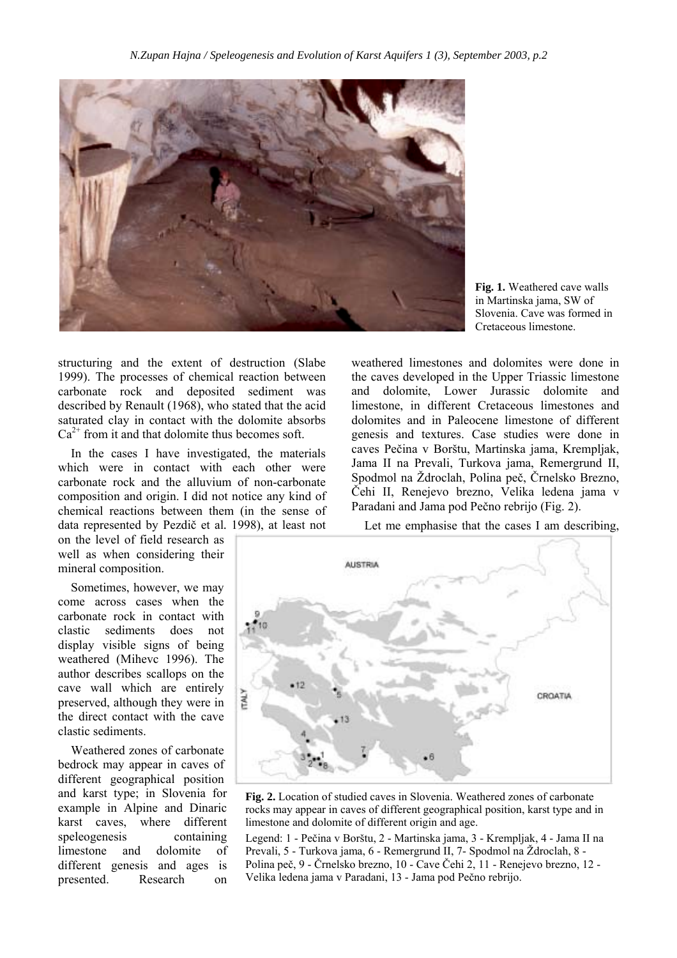

**Fig. 1.** Weathered cave walls in Martinska jama, SW of Slovenia. Cave was formed in Cretaceous limestone.

structuring and the extent of destruction (Slabe 1999). The processes of chemical reaction between carbonate rock and deposited sediment was described by Renault (1968), who stated that the acid saturated clay in contact with the dolomite absorbs  $Ca<sup>2+</sup>$  from it and that dolomite thus becomes soft.

In the cases I have investigated, the materials which were in contact with each other were carbonate rock and the alluvium of non-carbonate composition and origin. I did not notice any kind of chemical reactions between them (in the sense of data represented by Pezdič et al*.* 1998), at least not

on the level of field research as well as when considering their mineral composition.

Sometimes, however, we may come across cases when the carbonate rock in contact with clastic sediments does not display visible signs of being weathered (Mihevc 1996). The author describes scallops on the cave wall which are entirely preserved, although they were in the direct contact with the cave clastic sediments.

Weathered zones of carbonate bedrock may appear in caves of different geographical position and karst type; in Slovenia for example in Alpine and Dinaric karst caves, where different speleogenesis containing limestone and dolomite of different genesis and ages is presented. Research on

weathered limestones and dolomites were done in the caves developed in the Upper Triassic limestone and dolomite, Lower Jurassic dolomite and limestone, in different Cretaceous limestones and dolomites and in Paleocene limestone of different genesis and textures. Case studies were done in caves Pečina v Borötu, Martinska jama, Krempljak, Jama II na Prevali, Turkova jama, Remergrund II, Spodmol na Ždroclah, Polina peč, Črnelsko Brezno, Čehi II, Renejevo brezno, Velika ledena jama v Paradani and Jama pod Pečno rebrijo (Fig. 2).

Let me emphasise that the cases I am describing,



**Fig. 2.** Location of studied caves in Slovenia. Weathered zones of carbonate rocks may appear in caves of different geographical position, karst type and in limestone and dolomite of different origin and age.

Legend: 1 - Pečina v Borötu, 2 - Martinska jama, 3 - Krempljak, 4 - Jama II na Prevali, 5 - Turkova jama, 6 - Remergrund II, 7- Spodmol na Ždroclah, 8 -Polina peč, 9 - Črnelsko brezno, 10 - Cave Čehi 2, 11 - Renejevo brezno, 12 - Velika ledena jama v Paradani, 13 - Jama pod Pečno rebrijo.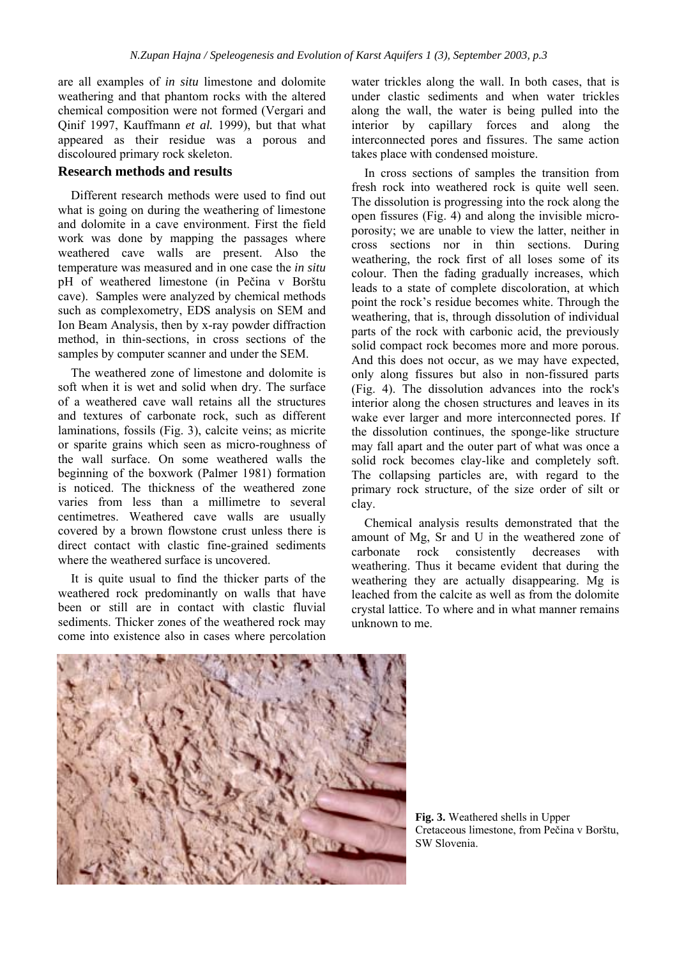are all examples of *in situ* limestone and dolomite weathering and that phantom rocks with the altered chemical composition were not formed (Vergari and Qinif 1997, Kauffmann *et al.* 1999), but that what appeared as their residue was a porous and discoloured primary rock skeleton.

# **Research methods and results**

Different research methods were used to find out what is going on during the weathering of limestone and dolomite in a cave environment. First the field work was done by mapping the passages where weathered cave walls are present. Also the temperature was measured and in one case the *in situ* pH of weathered limestone (in Pečina v Borötu cave). Samples were analyzed by chemical methods such as complexometry, EDS analysis on SEM and Ion Beam Analysis, then by x-ray powder diffraction method, in thin-sections, in cross sections of the samples by computer scanner and under the SEM.

The weathered zone of limestone and dolomite is soft when it is wet and solid when dry. The surface of a weathered cave wall retains all the structures and textures of carbonate rock, such as different laminations, fossils (Fig. 3), calcite veins; as micrite or sparite grains which seen as micro-roughness of the wall surface. On some weathered walls the beginning of the boxwork (Palmer 1981) formation is noticed. The thickness of the weathered zone varies from less than a millimetre to several centimetres. Weathered cave walls are usually covered by a brown flowstone crust unless there is direct contact with clastic fine-grained sediments where the weathered surface is uncovered.

It is quite usual to find the thicker parts of the weathered rock predominantly on walls that have been or still are in contact with clastic fluvial sediments. Thicker zones of the weathered rock may come into existence also in cases where percolation water trickles along the wall. In both cases, that is under clastic sediments and when water trickles along the wall, the water is being pulled into the interior by capillary forces and along the interconnected pores and fissures. The same action takes place with condensed moisture.

In cross sections of samples the transition from fresh rock into weathered rock is quite well seen. The dissolution is progressing into the rock along the open fissures (Fig. 4) and along the invisible microporosity; we are unable to view the latter, neither in cross sections nor in thin sections. During weathering, the rock first of all loses some of its colour. Then the fading gradually increases, which leads to a state of complete discoloration, at which point the rock's residue becomes white. Through the weathering, that is, through dissolution of individual parts of the rock with carbonic acid, the previously solid compact rock becomes more and more porous. And this does not occur, as we may have expected, only along fissures but also in non-fissured parts (Fig. 4). The dissolution advances into the rock's interior along the chosen structures and leaves in its wake ever larger and more interconnected pores. If the dissolution continues, the sponge-like structure may fall apart and the outer part of what was once a solid rock becomes clay-like and completely soft. The collapsing particles are, with regard to the primary rock structure, of the size order of silt or clay.

Chemical analysis results demonstrated that the amount of Mg, Sr and U in the weathered zone of carbonate rock consistently decreases with weathering. Thus it became evident that during the weathering they are actually disappearing. Mg is leached from the calcite as well as from the dolomite crystal lattice. To where and in what manner remains unknown to me.



**Fig. 3.** Weathered shells in Upper Cretaceous limestone, from Pečina v Borötu, SW Slovenia.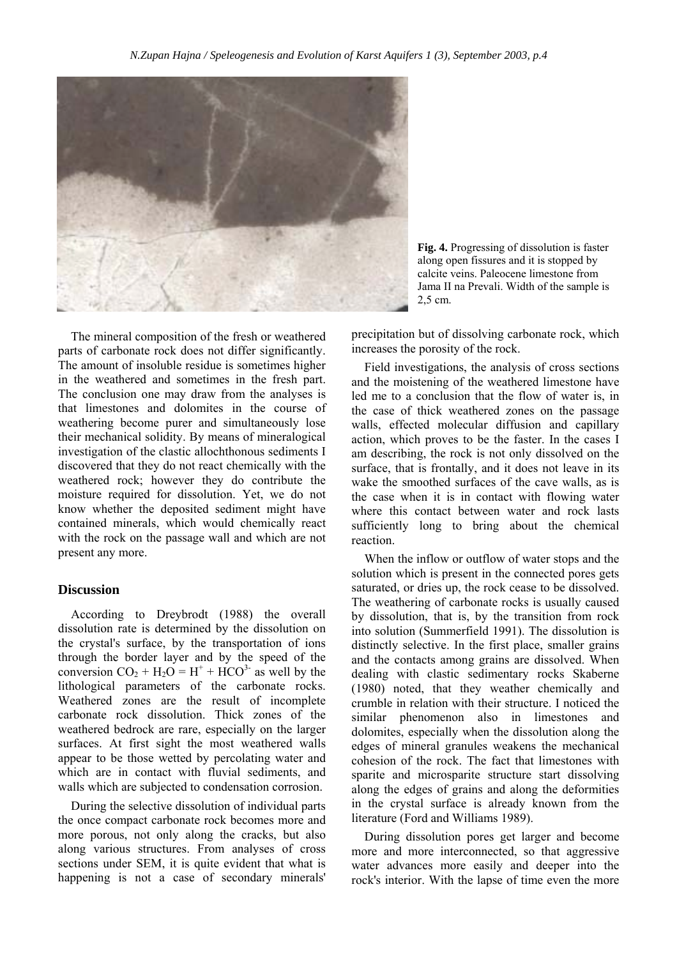

**Fig. 4.** Progressing of dissolution is faster along open fissures and it is stopped by calcite veins. Paleocene limestone from Jama II na Prevali. Width of the sample is 2,5 cm.

The mineral composition of the fresh or weathered parts of carbonate rock does not differ significantly. The amount of insoluble residue is sometimes higher in the weathered and sometimes in the fresh part. The conclusion one may draw from the analyses is that limestones and dolomites in the course of weathering become purer and simultaneously lose their mechanical solidity. By means of mineralogical investigation of the clastic allochthonous sediments I discovered that they do not react chemically with the weathered rock; however they do contribute the moisture required for dissolution. Yet, we do not know whether the deposited sediment might have contained minerals, which would chemically react with the rock on the passage wall and which are not present any more.

### **Discussion**

According to Dreybrodt (1988) the overall dissolution rate is determined by the dissolution on the crystal's surface, by the transportation of ions through the border layer and by the speed of the conversion  $CO_2 + H_2O = H^+ + HCO^{3-}$  as well by the lithological parameters of the carbonate rocks. Weathered zones are the result of incomplete carbonate rock dissolution. Thick zones of the weathered bedrock are rare, especially on the larger surfaces. At first sight the most weathered walls appear to be those wetted by percolating water and which are in contact with fluvial sediments, and walls which are subjected to condensation corrosion.

During the selective dissolution of individual parts the once compact carbonate rock becomes more and more porous, not only along the cracks, but also along various structures. From analyses of cross sections under SEM, it is quite evident that what is happening is not a case of secondary minerals' precipitation but of dissolving carbonate rock, which increases the porosity of the rock.

Field investigations, the analysis of cross sections and the moistening of the weathered limestone have led me to a conclusion that the flow of water is, in the case of thick weathered zones on the passage walls, effected molecular diffusion and capillary action, which proves to be the faster. In the cases I am describing, the rock is not only dissolved on the surface, that is frontally, and it does not leave in its wake the smoothed surfaces of the cave walls, as is the case when it is in contact with flowing water where this contact between water and rock lasts sufficiently long to bring about the chemical reaction.

When the inflow or outflow of water stops and the solution which is present in the connected pores gets saturated, or dries up, the rock cease to be dissolved. The weathering of carbonate rocks is usually caused by dissolution, that is, by the transition from rock into solution (Summerfield 1991). The dissolution is distinctly selective. In the first place, smaller grains and the contacts among grains are dissolved. When dealing with clastic sedimentary rocks Skaberne (1980) noted, that they weather chemically and crumble in relation with their structure. I noticed the similar phenomenon also in limestones and dolomites, especially when the dissolution along the edges of mineral granules weakens the mechanical cohesion of the rock. The fact that limestones with sparite and microsparite structure start dissolving along the edges of grains and along the deformities in the crystal surface is already known from the literature (Ford and Williams 1989).

During dissolution pores get larger and become more and more interconnected, so that aggressive water advances more easily and deeper into the rock's interior. With the lapse of time even the more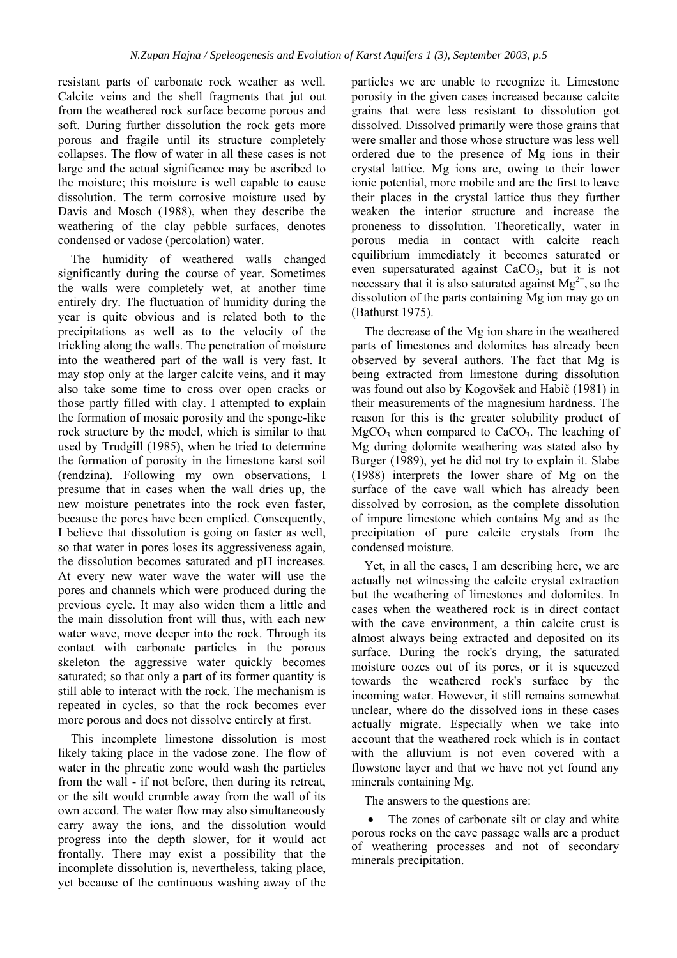resistant parts of carbonate rock weather as well. Calcite veins and the shell fragments that jut out from the weathered rock surface become porous and soft. During further dissolution the rock gets more porous and fragile until its structure completely collapses. The flow of water in all these cases is not large and the actual significance may be ascribed to the moisture; this moisture is well capable to cause dissolution. The term corrosive moisture used by Davis and Mosch (1988), when they describe the weathering of the clay pebble surfaces, denotes condensed or vadose (percolation) water.

The humidity of weathered walls changed significantly during the course of year. Sometimes the walls were completely wet, at another time entirely dry. The fluctuation of humidity during the year is quite obvious and is related both to the precipitations as well as to the velocity of the trickling along the walls. The penetration of moisture into the weathered part of the wall is very fast. It may stop only at the larger calcite veins, and it may also take some time to cross over open cracks or those partly filled with clay. I attempted to explain the formation of mosaic porosity and the sponge-like rock structure by the model, which is similar to that used by Trudgill (1985), when he tried to determine the formation of porosity in the limestone karst soil (rendzina). Following my own observations, I presume that in cases when the wall dries up, the new moisture penetrates into the rock even faster, because the pores have been emptied. Consequently, I believe that dissolution is going on faster as well, so that water in pores loses its aggressiveness again, the dissolution becomes saturated and pH increases. At every new water wave the water will use the pores and channels which were produced during the previous cycle. It may also widen them a little and the main dissolution front will thus, with each new water wave, move deeper into the rock. Through its contact with carbonate particles in the porous skeleton the aggressive water quickly becomes saturated; so that only a part of its former quantity is still able to interact with the rock. The mechanism is repeated in cycles, so that the rock becomes ever more porous and does not dissolve entirely at first.

This incomplete limestone dissolution is most likely taking place in the vadose zone. The flow of water in the phreatic zone would wash the particles from the wall - if not before, then during its retreat, or the silt would crumble away from the wall of its own accord. The water flow may also simultaneously carry away the ions, and the dissolution would progress into the depth slower, for it would act frontally. There may exist a possibility that the incomplete dissolution is, nevertheless, taking place, yet because of the continuous washing away of the

particles we are unable to recognize it. Limestone porosity in the given cases increased because calcite grains that were less resistant to dissolution got dissolved. Dissolved primarily were those grains that were smaller and those whose structure was less well ordered due to the presence of Mg ions in their crystal lattice. Mg ions are, owing to their lower ionic potential, more mobile and are the first to leave their places in the crystal lattice thus they further weaken the interior structure and increase the proneness to dissolution. Theoretically, water in porous media in contact with calcite reach equilibrium immediately it becomes saturated or even supersaturated against  $CaCO<sub>3</sub>$ , but it is not necessary that it is also saturated against  $Mg^{2+}$ , so the dissolution of the parts containing Mg ion may go on (Bathurst 1975).

The decrease of the Mg ion share in the weathered parts of limestones and dolomites has already been observed by several authors. The fact that Mg is being extracted from limestone during dissolution was found out also by Kogovöek and Habič (1981) in their measurements of the magnesium hardness. The reason for this is the greater solubility product of  $MgCO<sub>3</sub>$  when compared to CaCO<sub>3</sub>. The leaching of Mg during dolomite weathering was stated also by Burger (1989), yet he did not try to explain it. Slabe (1988) interprets the lower share of Mg on the surface of the cave wall which has already been dissolved by corrosion, as the complete dissolution of impure limestone which contains Mg and as the precipitation of pure calcite crystals from the condensed moisture.

Yet, in all the cases, I am describing here, we are actually not witnessing the calcite crystal extraction but the weathering of limestones and dolomites. In cases when the weathered rock is in direct contact with the cave environment, a thin calcite crust is almost always being extracted and deposited on its surface. During the rock's drying, the saturated moisture oozes out of its pores, or it is squeezed towards the weathered rock's surface by the incoming water. However, it still remains somewhat unclear, where do the dissolved ions in these cases actually migrate. Especially when we take into account that the weathered rock which is in contact with the alluvium is not even covered with a flowstone layer and that we have not yet found any minerals containing Mg.

The answers to the questions are:

The zones of carbonate silt or clay and white porous rocks on the cave passage walls are a product of weathering processes and not of secondary minerals precipitation.